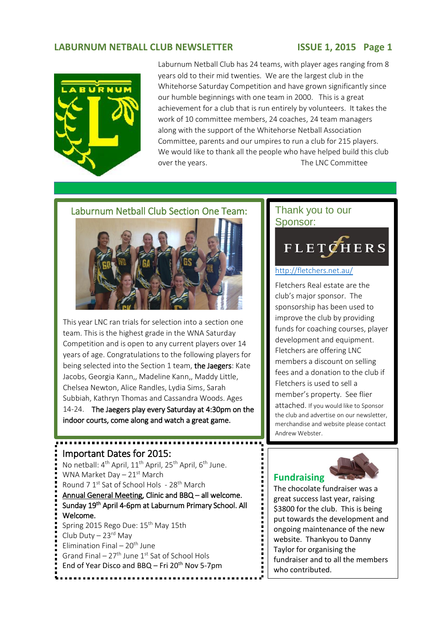# **LABURNUM NETBALL CLUB NEWSLETTER ISSUE 1, 2015 Page 1**



Laburnum Netball Club has 24 teams, with player ages ranging from 8 years old to their mid twenties. We are the largest club in the Whitehorse Saturday Competition and have grown significantly since our humble beginnings with one team in 2000. This is a great achievement for a club that is run entirely by volunteers. It takes the work of 10 committee members, 24 coaches, 24 team managers along with the support of the Whitehorse Netball Association Committee, parents and our umpires to run a club for 215 players. We would like to thank all the people who have helped build this club over the years. The LNC Committee

3.



This year LNC ran trials for selection into a section one team. This is the highest grade in the WNA Saturday Competition and is open to any current players over 14 years of age. Congratulations to the following players for being selected into the Section 1 team, the Jaegers: Kate Jacobs, Georgia Kann,, Madeline Kann,, Maddy Little, Chelsea Newton, Alice Randles, Lydia Sims, Sarah Subbiah, Kathryn Thomas and Cassandra Woods. Ages 14-24. The Jaegers play every Saturday at 4:30pm on the indoor courts, come along and watch a great game.

# Important Dates for 2015: No netball: 4<sup>th</sup> April, 11<sup>th</sup> April, 25<sup>th</sup> April, 6<sup>th</sup> June. WNA Market Day  $-21$ <sup>st</sup> March Round 7 1<sup>st</sup> Sat of School Hols - 28<sup>th</sup> March Annual General Meeting, Clinic and BBQ – all welcome. Sunday 19th April 4-6pm at Laburnum Primary School. All Welcome. Spring 2015 Rego Due: 15th May 15th Club Duty  $-23$ <sup>rd</sup> May Elimination Final –  $20<sup>th</sup>$  June Grand Final –  $27<sup>th</sup>$  June 1<sup>st</sup> Sat of School Hols End of Year Disco and BBQ – Fri  $20<sup>th</sup>$  Nov 5-7pm

# Thank you to our Sponsor:

# **FLETCHERS** 2.

### <http://fletchers.net.au/>

Fletchers Real estate are the club's major sponsor. The sponsorship has been used to improve the club by providing funds for coaching courses, player development and equipment. Fletchers are offering LNC members a discount on selling fees and a donation to the club if Fletchers is used to sell a member's property. See flier attached. If you would like to Sponsor the club and advertise on our newsletter, merchandise and website please contact Andrew Webster.

# **Fundraising**